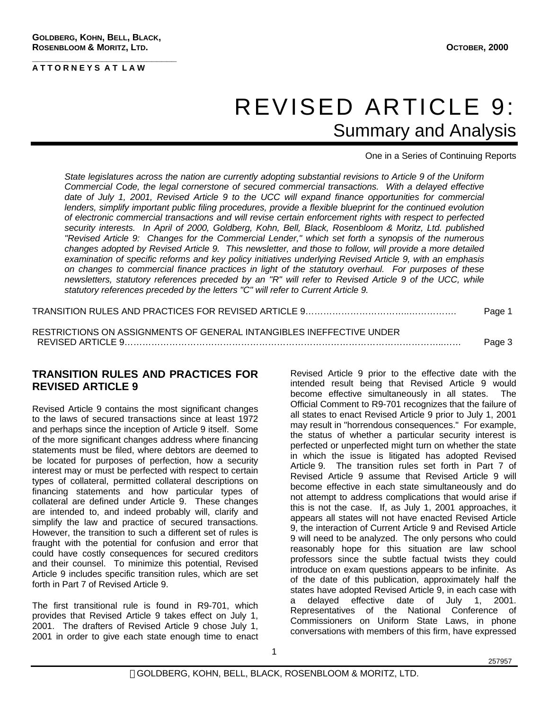**\_\_\_\_\_\_\_\_\_\_\_\_\_\_\_\_\_\_\_\_\_\_\_\_\_\_\_\_\_**

## REVISED ARTICLE 9: Summary and Analysis

One in a Series of Continuing Reports

*State legislatures across the nation are currently adopting substantial revisions to Article 9 of the Uniform Commercial Code, the legal cornerstone of secured commercial transactions. With a delayed effective date of July 1, 2001, Revised Article 9 to the UCC will expand finance opportunities for commercial lenders, simplify important public filing procedures, provide a flexible blueprint for the continued evolution of electronic commercial transactions and will revise certain enforcement rights with respect to perfected security interests. In April of 2000, Goldberg, Kohn, Bell, Black, Rosenbloom & Moritz, Ltd. published "Revised Article 9: Changes for the Commercial Lender," which set forth a synopsis of the numerous changes adopted by Revised Article 9. This newsletter, and those to follow, will provide a more detailed examination of specific reforms and key policy initiatives underlying Revised Article 9, with an emphasis on changes to commercial finance practices in light of the statutory overhaul. For purposes of these newsletters, statutory references preceded by an "R" will refer to Revised Article 9 of the UCC, while statutory references preceded by the letters "C" will refer to Current Article 9.*

TRANSITION RULES AND PRACTICES FOR REVISED ARTICLE 9……………………………..……………. Page 1

RESTRICTIONS ON ASSIGNMENTS OF GENERAL INTANGIBLES INEFFECTIVE UNDER REVISED ARTICLE 9……………………………………………………………………………………………..…… Page 3

## **TRANSITION RULES AND PRACTICES FOR REVISED ARTICLE 9**

Revised Article 9 contains the most significant changes to the laws of secured transactions since at least 1972 and perhaps since the inception of Article 9 itself. Some of the more significant changes address where financing statements must be filed, where debtors are deemed to be located for purposes of perfection, how a security interest may or must be perfected with respect to certain types of collateral, permitted collateral descriptions on financing statements and how particular types of collateral are defined under Article 9. These changes are intended to, and indeed probably will, clarify and simplify the law and practice of secured transactions. However, the transition to such a different set of rules is fraught with the potential for confusion and error that could have costly consequences for secured creditors and their counsel. To minimize this potential, Revised Article 9 includes specific transition rules, which are set forth in Part 7 of Revised Article 9.

The first transitional rule is found in R9-701, which provides that Revised Article 9 takes effect on July 1, 2001. The drafters of Revised Article 9 chose July 1, 2001 in order to give each state enough time to enact Revised Article 9 prior to the effective date with the intended result being that Revised Article 9 would become effective simultaneously in all states. The Official Comment to R9-701 recognizes that the failure of all states to enact Revised Article 9 prior to July 1, 2001 may result in "horrendous consequences." For example, the status of whether a particular security interest is perfected or unperfected might turn on whether the state in which the issue is litigated has adopted Revised Article 9. The transition rules set forth in Part 7 of Revised Article 9 assume that Revised Article 9 will become effective in each state simultaneously and do not attempt to address complications that would arise if this is not the case. If, as July 1, 2001 approaches, it appears all states will not have enacted Revised Article 9, the interaction of Current Article 9 and Revised Article 9 will need to be analyzed. The only persons who could reasonably hope for this situation are law school professors since the subtle factual twists they could introduce on exam questions appears to be infinite. As of the date of this publication, approximately half the states have adopted Revised Article 9, in each case with a delayed effective date of July 1, 2001. Representatives of the National Conference of Commissioners on Uniform State Laws, in phone conversations with members of this firm, have expressed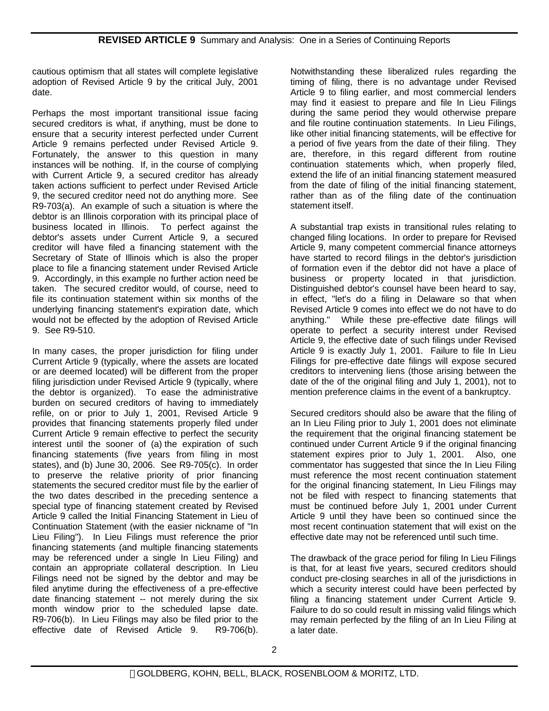cautious optimism that all states will complete legislative adoption of Revised Article 9 by the critical July, 2001 date.

Perhaps the most important transitional issue facing secured creditors is what, if anything, must be done to ensure that a security interest perfected under Current Article 9 remains perfected under Revised Article 9. Fortunately, the answer to this question in many instances will be nothing. If, in the course of complying with Current Article 9, a secured creditor has already taken actions sufficient to perfect under Revised Article 9, the secured creditor need not do anything more. See R9-703(a). An example of such a situation is where the debtor is an Illinois corporation with its principal place of business located in Illinois. To perfect against the debtor's assets under Current Article 9, a secured creditor will have filed a financing statement with the Secretary of State of Illinois which is also the proper place to file a financing statement under Revised Article 9. Accordingly, in this example no further action need be taken. The secured creditor would, of course, need to file its continuation statement within six months of the underlying financing statement's expiration date, which would not be effected by the adoption of Revised Article 9. See R9-510.

In many cases, the proper jurisdiction for filing under Current Article 9 (typically, where the assets are located or are deemed located) will be different from the proper filing jurisdiction under Revised Article 9 (typically, where the debtor is organized). To ease the administrative burden on secured creditors of having to immediately refile, on or prior to July 1, 2001, Revised Article 9 provides that financing statements properly filed under Current Article 9 remain effective to perfect the security interest until the sooner of (a) the expiration of such financing statements (five years from filing in most states), and (b) June 30, 2006. See R9-705(c). In order to preserve the relative priority of prior financing statements the secured creditor must file by the earlier of the two dates described in the preceding sentence a special type of financing statement created by Revised Article 9 called the Initial Financing Statement in Lieu of Continuation Statement (with the easier nickname of "In Lieu Filing"). In Lieu Filings must reference the prior financing statements (and multiple financing statements may be referenced under a single In Lieu Filing) and contain an appropriate collateral description. In Lieu Filings need not be signed by the debtor and may be filed anytime during the effectiveness of a pre-effective date financing statement -- not merely during the six month window prior to the scheduled lapse date. R9-706(b). In Lieu Filings may also be filed prior to the effective date of Revised Article 9. R9-706(b).

Notwithstanding these liberalized rules regarding the timing of filing, there is no advantage under Revised Article 9 to filing earlier, and most commercial lenders may find it easiest to prepare and file In Lieu Filings during the same period they would otherwise prepare and file routine continuation statements. In Lieu Filings, like other initial financing statements, will be effective for a period of five years from the date of their filing. They are, therefore, in this regard different from routine continuation statements which, when properly filed, extend the life of an initial financing statement measured from the date of filing of the initial financing statement, rather than as of the filing date of the continuation statement itself.

A substantial trap exists in transitional rules relating to changed filing locations. In order to prepare for Revised Article 9, many competent commercial finance attorneys have started to record filings in the debtor's jurisdiction of formation even if the debtor did not have a place of business or property located in that jurisdiction. Distinguished debtor's counsel have been heard to say, in effect, "let's do a filing in Delaware so that when Revised Article 9 comes into effect we do not have to do anything." While these pre-effective date filings will operate to perfect a security interest under Revised Article 9, the effective date of such filings under Revised Article 9 is exactly July 1, 2001. Failure to file In Lieu Filings for pre-effective date filings will expose secured creditors to intervening liens (those arising between the date of the of the original filing and July 1, 2001), not to mention preference claims in the event of a bankruptcy.

Secured creditors should also be aware that the filing of an In Lieu Filing prior to July 1, 2001 does not eliminate the requirement that the original financing statement be continued under Current Article 9 if the original financing statement expires prior to July 1, 2001. Also, one commentator has suggested that since the In Lieu Filing must reference the most recent continuation statement for the original financing statement, In Lieu Filings may not be filed with respect to financing statements that must be continued before July 1, 2001 under Current Article 9 until they have been so continued since the most recent continuation statement that will exist on the effective date may not be referenced until such time.

The drawback of the grace period for filing In Lieu Filings is that, for at least five years, secured creditors should conduct pre-closing searches in all of the jurisdictions in which a security interest could have been perfected by filing a financing statement under Current Article 9. Failure to do so could result in missing valid filings which may remain perfected by the filing of an In Lieu Filing at a later date.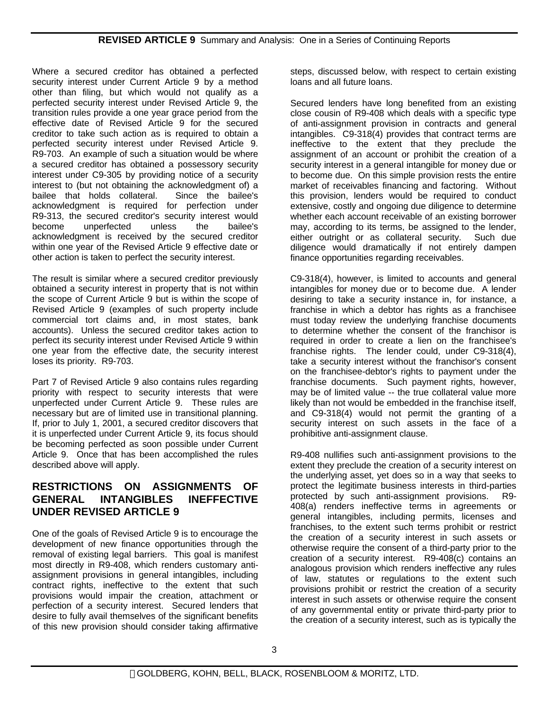Where a secured creditor has obtained a perfected security interest under Current Article 9 by a method other than filing, but which would not qualify as a perfected security interest under Revised Article 9, the transition rules provide a one year grace period from the effective date of Revised Article 9 for the secured creditor to take such action as is required to obtain a perfected security interest under Revised Article 9. R9-703. An example of such a situation would be where a secured creditor has obtained a possessory security interest under C9-305 by providing notice of a security interest to (but not obtaining the acknowledgment of) a bailee that holds collateral. Since the bailee's acknowledgment is required for perfection under R9-313, the secured creditor's security interest would become unperfected unless the bailee's acknowledgment is received by the secured creditor within one year of the Revised Article 9 effective date or other action is taken to perfect the security interest.

The result is similar where a secured creditor previously obtained a security interest in property that is not within the scope of Current Article 9 but is within the scope of Revised Article 9 (examples of such property include commercial tort claims and, in most states, bank accounts). Unless the secured creditor takes action to perfect its security interest under Revised Article 9 within one year from the effective date, the security interest loses its priority. R9-703.

Part 7 of Revised Article 9 also contains rules regarding priority with respect to security interests that were unperfected under Current Article 9. These rules are necessary but are of limited use in transitional planning. If, prior to July 1, 2001, a secured creditor discovers that it is unperfected under Current Article 9, its focus should be becoming perfected as soon possible under Current Article 9. Once that has been accomplished the rules described above will apply.

## **RESTRICTIONS ON ASSIGNMENTS OF GENERAL INTANGIBLES INEFFECTIVE UNDER REVISED ARTICLE 9**

One of the goals of Revised Article 9 is to encourage the development of new finance opportunities through the removal of existing legal barriers. This goal is manifest most directly in R9-408, which renders customary antiassignment provisions in general intangibles, including contract rights, ineffective to the extent that such provisions would impair the creation, attachment or perfection of a security interest. Secured lenders that desire to fully avail themselves of the significant benefits of this new provision should consider taking affirmative

steps, discussed below, with respect to certain existing loans and all future loans.

Secured lenders have long benefited from an existing close cousin of R9-408 which deals with a specific type of anti-assignment provision in contracts and general intangibles. C9-318(4) provides that contract terms are ineffective to the extent that they preclude the assignment of an account or prohibit the creation of a security interest in a general intangible for money due or to become due. On this simple provision rests the entire market of receivables financing and factoring. Without this provision, lenders would be required to conduct extensive, costly and ongoing due diligence to determine whether each account receivable of an existing borrower may, according to its terms, be assigned to the lender, either outright or as collateral security. Such due diligence would dramatically if not entirely dampen finance opportunities regarding receivables.

C9-318(4), however, is limited to accounts and general intangibles for money due or to become due. A lender desiring to take a security instance in, for instance, a franchise in which a debtor has rights as a franchisee must today review the underlying franchise documents to determine whether the consent of the franchisor is required in order to create a lien on the franchisee's franchise rights. The lender could, under C9-318(4), take a security interest without the franchisor's consent on the franchisee-debtor's rights to payment under the franchise documents. Such payment rights, however, may be of limited value -- the true collateral value more likely than not would be embedded in the franchise itself, and C9-318(4) would not permit the granting of a security interest on such assets in the face of a prohibitive anti-assignment clause.

R9-408 nullifies such anti-assignment provisions to the extent they preclude the creation of a security interest on the underlying asset, yet does so in a way that seeks to protect the legitimate business interests in third-parties protected by such anti-assignment provisions. R9- 408(a) renders ineffective terms in agreements or general intangibles, including permits, licenses and franchises, to the extent such terms prohibit or restrict the creation of a security interest in such assets or otherwise require the consent of a third-party prior to the creation of a security interest. R9-408(c) contains an analogous provision which renders ineffective any rules of law, statutes or regulations to the extent such provisions prohibit or restrict the creation of a security interest in such assets or otherwise require the consent of any governmental entity or private third-party prior to the creation of a security interest, such as is typically the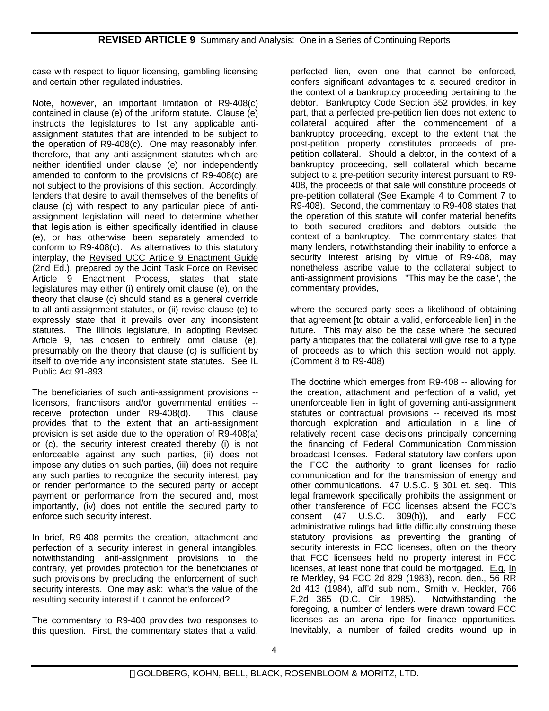case with respect to liquor licensing, gambling licensing and certain other regulated industries.

Note, however, an important limitation of R9-408(c) contained in clause (e) of the uniform statute. Clause (e) instructs the legislatures to list any applicable antiassignment statutes that are intended to be subject to the operation of R9-408(c). One may reasonably infer, therefore, that any anti-assignment statutes which are neither identified under clause (e) nor independently amended to conform to the provisions of R9-408(c) are not subject to the provisions of this section. Accordingly, lenders that desire to avail themselves of the benefits of clause (c) with respect to any particular piece of antiassignment legislation will need to determine whether that legislation is either specifically identified in clause (e), or has otherwise been separately amended to conform to R9-408(c). As alternatives to this statutory interplay, the Revised UCC Article 9 Enactment Guide (2nd Ed.), prepared by the Joint Task Force on Revised Article 9 Enactment Process, states that state legislatures may either (i) entirely omit clause (e), on the theory that clause (c) should stand as a general override to all anti-assignment statutes, or (ii) revise clause (e) to expressly state that it prevails over any inconsistent statutes. The Illinois legislature, in adopting Revised Article 9, has chosen to entirely omit clause (e), presumably on the theory that clause (c) is sufficient by itself to override any inconsistent state statutes. See IL Public Act 91-893.

The beneficiaries of such anti-assignment provisions - licensors, franchisors and/or governmental entities - receive protection under R9-408(d). This clause provides that to the extent that an anti-assignment provision is set aside due to the operation of R9-408(a) or (c), the security interest created thereby (i) is not enforceable against any such parties, (ii) does not impose any duties on such parties, (iii) does not require any such parties to recognize the security interest, pay or render performance to the secured party or accept payment or performance from the secured and, most importantly, (iv) does not entitle the secured party to enforce such security interest.

In brief, R9-408 permits the creation, attachment and perfection of a security interest in general intangibles, notwithstanding anti-assignment provisions to the contrary, yet provides protection for the beneficiaries of such provisions by precluding the enforcement of such security interests. One may ask: what's the value of the resulting security interest if it cannot be enforced?

The commentary to R9-408 provides two responses to this question. First, the commentary states that a valid,

perfected lien, even one that cannot be enforced, confers significant advantages to a secured creditor in the context of a bankruptcy proceeding pertaining to the debtor. Bankruptcy Code Section 552 provides, in key part, that a perfected pre-petition lien does not extend to collateral acquired after the commencement of a bankruptcy proceeding, except to the extent that the post-petition property constitutes proceeds of prepetition collateral. Should a debtor, in the context of a bankruptcy proceeding, sell collateral which became subject to a pre-petition security interest pursuant to R9- 408, the proceeds of that sale will constitute proceeds of pre-petition collateral (See Example 4 to Comment 7 to R9-408). Second, the commentary to R9-408 states that the operation of this statute will confer material benefits to both secured creditors and debtors outside the context of a bankruptcy. The commentary states that many lenders, notwithstanding their inability to enforce a security interest arising by virtue of R9-408, may nonetheless ascribe value to the collateral subject to anti-assignment provisions. "This may be the case", the commentary provides,

where the secured party sees a likelihood of obtaining that agreement [to obtain a valid, enforceable lien] in the future. This may also be the case where the secured party anticipates that the collateral will give rise to a type of proceeds as to which this section would not apply. (Comment 8 to R9-408)

The doctrine which emerges from R9-408 -- allowing for the creation, attachment and perfection of a valid, yet unenforceable lien in light of governing anti-assignment statutes or contractual provisions -- received its most thorough exploration and articulation in a line of relatively recent case decisions principally concerning the financing of Federal Communication Commission broadcast licenses. Federal statutory law confers upon the FCC the authority to grant licenses for radio communication and for the transmission of energy and other communications. 47 U.S.C. § 301 et. seq. This legal framework specifically prohibits the assignment or other transference of FCC licenses absent the FCC's consent (47 U.S.C. 309(h)), and early FCC administrative rulings had little difficulty construing these statutory provisions as preventing the granting of security interests in FCC licenses, often on the theory that FCC licensees held no property interest in FCC licenses, at least none that could be mortgaged. E.g. In re Merkley, 94 FCC 2d 829 (1983), recon. den., 56 RR 2d 413 (1984), aff'd sub nom., Smith v. Heckler, 766 F.2d 365 (D.C. Cir. 1985). Notwithstanding the foregoing, a number of lenders were drawn toward FCC licenses as an arena ripe for finance opportunities. Inevitably, a number of failed credits wound up in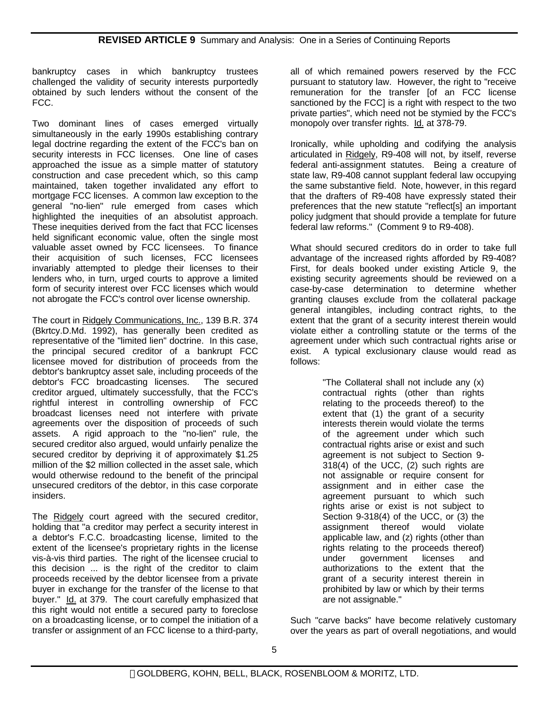bankruptcy cases in which bankruptcy trustees challenged the validity of security interests purportedly obtained by such lenders without the consent of the FCC.

Two dominant lines of cases emerged virtually simultaneously in the early 1990s establishing contrary legal doctrine regarding the extent of the FCC's ban on security interests in FCC licenses. One line of cases approached the issue as a simple matter of statutory construction and case precedent which, so this camp maintained, taken together invalidated any effort to mortgage FCC licenses. A common law exception to the general "no-lien" rule emerged from cases which highlighted the inequities of an absolutist approach. These inequities derived from the fact that FCC licenses held significant economic value, often the single most valuable asset owned by FCC licensees. To finance their acquisition of such licenses, FCC licensees invariably attempted to pledge their licenses to their lenders who, in turn, urged courts to approve a limited form of security interest over FCC licenses which would not abrogate the FCC's control over license ownership.

The court in Ridgely Communications, Inc., 139 B.R. 374 (Bkrtcy.D.Md. 1992), has generally been credited as representative of the "limited lien" doctrine. In this case, the principal secured creditor of a bankrupt FCC licensee moved for distribution of proceeds from the debtor's bankruptcy asset sale, including proceeds of the debtor's FCC broadcasting licenses. The secured creditor argued, ultimately successfully, that the FCC's rightful interest in controlling ownership of FCC broadcast licenses need not interfere with private agreements over the disposition of proceeds of such assets. A rigid approach to the "no-lien" rule, the secured creditor also argued, would unfairly penalize the secured creditor by depriving it of approximately \$1.25 million of the \$2 million collected in the asset sale, which would otherwise redound to the benefit of the principal unsecured creditors of the debtor, in this case corporate insiders.

The Ridgely court agreed with the secured creditor, holding that "a creditor may perfect a security interest in a debtor's F.C.C. broadcasting license, limited to the extent of the licensee's proprietary rights in the license vis-à-vis third parties. The right of the licensee crucial to this decision ... is the right of the creditor to claim proceeds received by the debtor licensee from a private buyer in exchange for the transfer of the license to that buyer." Id. at 379. The court carefully emphasized that this right would not entitle a secured party to foreclose on a broadcasting license, or to compel the initiation of a transfer or assignment of an FCC license to a third-party,

all of which remained powers reserved by the FCC pursuant to statutory law. However, the right to "receive remuneration for the transfer [of an FCC license sanctioned by the FCC] is a right with respect to the two private parties", which need not be stymied by the FCC's monopoly over transfer rights. Id. at 378-79.

Ironically, while upholding and codifying the analysis articulated in Ridgely, R9-408 will not, by itself, reverse federal anti-assignment statutes. Being a creature of state law, R9-408 cannot supplant federal law occupying the same substantive field. Note, however, in this regard that the drafters of R9-408 have expressly stated their preferences that the new statute "reflect[s] an important policy judgment that should provide a template for future federal law reforms." (Comment 9 to R9-408).

What should secured creditors do in order to take full advantage of the increased rights afforded by R9-408? First, for deals booked under existing Article 9, the existing security agreements should be reviewed on a case-by-case determination to determine whether granting clauses exclude from the collateral package general intangibles, including contract rights, to the extent that the grant of a security interest therein would violate either a controlling statute or the terms of the agreement under which such contractual rights arise or exist. A typical exclusionary clause would read as follows:

> "The Collateral shall not include any (x) contractual rights (other than rights relating to the proceeds thereof) to the extent that (1) the grant of a security interests therein would violate the terms of the agreement under which such contractual rights arise or exist and such agreement is not subject to Section 9- 318(4) of the UCC, (2) such rights are not assignable or require consent for assignment and in either case the agreement pursuant to which such rights arise or exist is not subject to Section 9-318(4) of the UCC, or (3) the assignment thereof would violate applicable law, and (z) rights (other than rights relating to the proceeds thereof) under government licenses and authorizations to the extent that the grant of a security interest therein in prohibited by law or which by their terms are not assignable."

Such "carve backs" have become relatively customary over the years as part of overall negotiations, and would